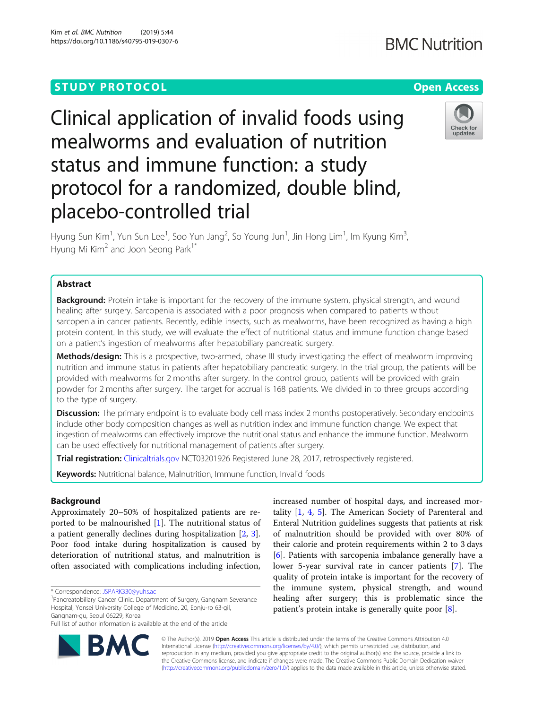# **STUDY PROTOCOL CONSUMING THE RESERVE ACCESS**

# Clinical application of invalid foods using mealworms and evaluation of nutrition status and immune function: a study protocol for a randomized, double blind, placebo-controlled trial

Hyung Sun Kim<sup>1</sup>, Yun Sun Lee<sup>1</sup>, Soo Yun Jang<sup>2</sup>, So Young Jun<sup>1</sup>, Jin Hong Lim<sup>1</sup>, Im Kyung Kim<sup>3</sup> , Hyung Mi Kim<sup>2</sup> and Joon Seong Park<sup>1\*</sup>

# Abstract

**Background:** Protein intake is important for the recovery of the immune system, physical strength, and wound healing after surgery. Sarcopenia is associated with a poor prognosis when compared to patients without sarcopenia in cancer patients. Recently, edible insects, such as mealworms, have been recognized as having a high protein content. In this study, we will evaluate the effect of nutritional status and immune function change based on a patient's ingestion of mealworms after hepatobiliary pancreatic surgery.

Methods/design: This is a prospective, two-armed, phase III study investigating the effect of mealworm improving nutrition and immune status in patients after hepatobiliary pancreatic surgery. In the trial group, the patients will be provided with mealworms for 2 months after surgery. In the control group, patients will be provided with grain powder for 2 months after surgery. The target for accrual is 168 patients. We divided in to three groups according to the type of surgery.

**Discussion:** The primary endpoint is to evaluate body cell mass index 2 months postoperatively. Secondary endpoints include other body composition changes as well as nutrition index and immune function change. We expect that ingestion of mealworms can effectively improve the nutritional status and enhance the immune function. Mealworm can be used effectively for nutritional management of patients after surgery.

Trial registration: [Clinicaltrials.gov](http://clinicaltrials.gov) NCT03201926 Registered June 28, 2017, retrospectively registered.

Keywords: Nutritional balance, Malnutrition, Immune function, Invalid foods

# Background

Approximately 20–50% of hospitalized patients are reported to be malnourished [[1\]](#page-5-0). The nutritional status of a patient generally declines during hospitalization [[2,](#page-5-0) [3](#page-5-0)]. Poor food intake during hospitalization is caused by deterioration of nutritional status, and malnutrition is often associated with complications including infection,

\* Correspondence: [JSPARK330@yuhs.ac](mailto:JSPARK330@yuhs.ac) <sup>1</sup>

<sup>1</sup> Pancreatobiliary Cancer Clinic, Department of Surgery, Gangnam Severance Hospital, Yonsei University College of Medicine, 20, Eonju-ro 63-gil, Gangnam-gu, Seoul 06229, Korea

Full list of author information is available at the end of the article

© The Author(s). 2019 **Open Access** This article is distributed under the terms of the Creative Commons Attribution 4.0 International License [\(http://creativecommons.org/licenses/by/4.0/](http://creativecommons.org/licenses/by/4.0/)), which permits unrestricted use, distribution, and reproduction in any medium, provided you give appropriate credit to the original author(s) and the source, provide a link to the Creative Commons license, and indicate if changes were made. The Creative Commons Public Domain Dedication waiver [\(http://creativecommons.org/publicdomain/zero/1.0/](http://creativecommons.org/publicdomain/zero/1.0/)) applies to the data made available in this article, unless otherwise stated.

increased number of hospital days, and increased mortality [\[1](#page-5-0), [4](#page-5-0), [5](#page-5-0)]. The American Society of Parenteral and Enteral Nutrition guidelines suggests that patients at risk of malnutrition should be provided with over 80% of their calorie and protein requirements within 2 to 3 days [[6\]](#page-5-0). Patients with sarcopenia imbalance generally have a lower 5-year survival rate in cancer patients [[7\]](#page-5-0). The quality of protein intake is important for the recovery of the immune system, physical strength, and wound healing after surgery; this is problematic since the patient's protein intake is generally quite poor [[8](#page-5-0)].





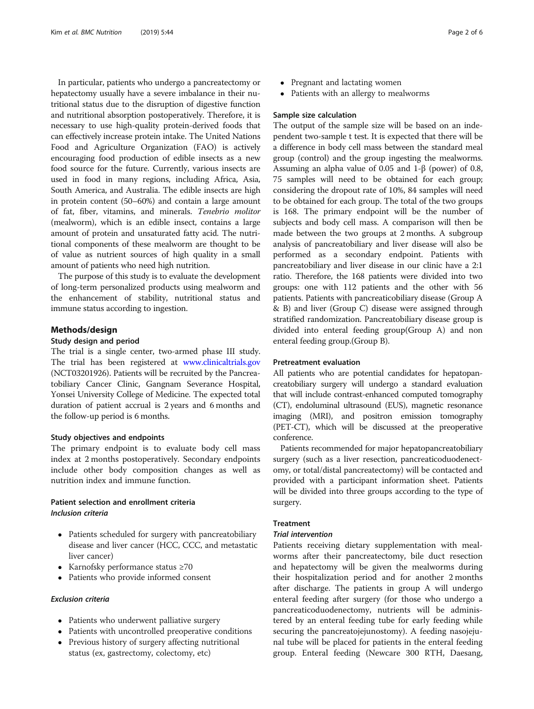In particular, patients who undergo a pancreatectomy or hepatectomy usually have a severe imbalance in their nutritional status due to the disruption of digestive function and nutritional absorption postoperatively. Therefore, it is necessary to use high-quality protein-derived foods that can effectively increase protein intake. The United Nations Food and Agriculture Organization (FAO) is actively encouraging food production of edible insects as a new food source for the future. Currently, various insects are used in food in many regions, including Africa, Asia, South America, and Australia. The edible insects are high in protein content (50–60%) and contain a large amount of fat, fiber, vitamins, and minerals. Tenebrio molitor (mealworm), which is an edible insect, contains a large amount of protein and unsaturated fatty acid. The nutritional components of these mealworm are thought to be of value as nutrient sources of high quality in a small amount of patients who need high nutrition.

The purpose of this study is to evaluate the development of long-term personalized products using mealworm and the enhancement of stability, nutritional status and immune status according to ingestion.

#### Methods/design

# Study design and period

The trial is a single center, two-armed phase III study. The trial has been registered at [www.clinicaltrials.gov](http://www.clinicaltrials.gov) (NCT03201926). Patients will be recruited by the Pancreatobiliary Cancer Clinic, Gangnam Severance Hospital, Yonsei University College of Medicine. The expected total duration of patient accrual is 2 years and 6 months and the follow-up period is 6 months.

#### Study objectives and endpoints

The primary endpoint is to evaluate body cell mass index at 2 months postoperatively. Secondary endpoints include other body composition changes as well as nutrition index and immune function.

# Patient selection and enrollment criteria Inclusion criteria

- Patients scheduled for surgery with pancreatobiliary disease and liver cancer (HCC, CCC, and metastatic liver cancer)
- Karnofsky performance status ≥70
- Patients who provide informed consent

# Exclusion criteria

- Patients who underwent palliative surgery
- Patients with uncontrolled preoperative conditions
- Previous history of surgery affecting nutritional status (ex, gastrectomy, colectomy, etc)
- Pregnant and lactating women
- Patients with an allergy to mealworms

#### Sample size calculation

The output of the sample size will be based on an independent two-sample t test. It is expected that there will be a difference in body cell mass between the standard meal group (control) and the group ingesting the mealworms. Assuming an alpha value of 0.05 and 1-β (power) of 0.8, 75 samples will need to be obtained for each group; considering the dropout rate of 10%, 84 samples will need to be obtained for each group. The total of the two groups is 168. The primary endpoint will be the number of subjects and body cell mass. A comparison will then be made between the two groups at 2 months. A subgroup analysis of pancreatobiliary and liver disease will also be performed as a secondary endpoint. Patients with pancreatobiliary and liver disease in our clinic have a 2:1 ratio. Therefore, the 168 patients were divided into two groups: one with 112 patients and the other with 56 patients. Patients with pancreaticobiliary disease (Group A & B) and liver (Group C) disease were assigned through stratified randomization. Pancreatobiliary disease group is divided into enteral feeding group(Group A) and non enteral feeding group.(Group B).

# Pretreatment evaluation

All patients who are potential candidates for hepatopancreatobiliary surgery will undergo a standard evaluation that will include contrast-enhanced computed tomography (CT), endoluminal ultrasound (EUS), magnetic resonance imaging (MRI), and positron emission tomography (PET-CT), which will be discussed at the preoperative conference.

Patients recommended for major hepatopancreatobiliary surgery (such as a liver resection, pancreaticoduodenectomy, or total/distal pancreatectomy) will be contacted and provided with a participant information sheet. Patients will be divided into three groups according to the type of surgery.

# Treatment

# Trial intervention

Patients receiving dietary supplementation with mealworms after their pancreatectomy, bile duct resection and hepatectomy will be given the mealworms during their hospitalization period and for another 2 months after discharge. The patients in group A will undergo enteral feeding after surgery (for those who undergo a pancreaticoduodenectomy, nutrients will be administered by an enteral feeding tube for early feeding while securing the pancreatojejunostomy). A feeding nasojejunal tube will be placed for patients in the enteral feeding group. Enteral feeding (Newcare 300 RTH, Daesang,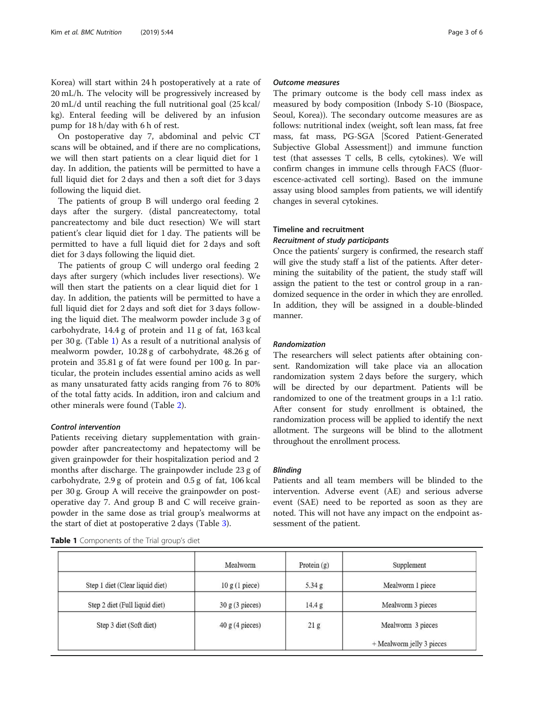Korea) will start within 24 h postoperatively at a rate of 20 mL/h. The velocity will be progressively increased by 20 mL/d until reaching the full nutritional goal (25 kcal/ kg). Enteral feeding will be delivered by an infusion pump for 18 h/day with 6 h of rest.

On postoperative day 7, abdominal and pelvic CT scans will be obtained, and if there are no complications, we will then start patients on a clear liquid diet for 1 day. In addition, the patients will be permitted to have a full liquid diet for 2 days and then a soft diet for 3 days following the liquid diet.

The patients of group B will undergo oral feeding 2 days after the surgery. (distal pancreatectomy, total pancreatectomy and bile duct resection) We will start patient's clear liquid diet for 1 day. The patients will be permitted to have a full liquid diet for 2 days and soft diet for 3 days following the liquid diet.

The patients of group C will undergo oral feeding 2 days after surgery (which includes liver resections). We will then start the patients on a clear liquid diet for 1 day. In addition, the patients will be permitted to have a full liquid diet for 2 days and soft diet for 3 days following the liquid diet. The mealworm powder include 3 g of carbohydrate, 14.4 g of protein and 11 g of fat, 163 kcal per 30 g. (Table 1) As a result of a nutritional analysis of mealworm powder, 10.28 g of carbohydrate, 48.26 g of protein and 35.81 g of fat were found per 100 g. In particular, the protein includes essential amino acids as well as many unsaturated fatty acids ranging from 76 to 80% of the total fatty acids. In addition, iron and calcium and other minerals were found (Table [2](#page-3-0)).

# Control intervention

Patients receiving dietary supplementation with grainpowder after pancreatectomy and hepatectomy will be given grainpowder for their hospitalization period and 2 months after discharge. The grainpowder include 23 g of carbohydrate, 2.9 g of protein and 0.5 g of fat, 106 kcal per 30 g. Group A will receive the grainpowder on postoperative day 7. And group B and C will receive grainpowder in the same dose as trial group's mealworms at the start of diet at postoperative 2 days (Table [3\)](#page-3-0).

Table 1 Components of the Trial group's diet

# Outcome measures

The primary outcome is the body cell mass index as measured by body composition (Inbody S-10 (Biospace, Seoul, Korea)). The secondary outcome measures are as follows: nutritional index (weight, soft lean mass, fat free mass, fat mass, PG-SGA [Scored Patient-Generated Subjective Global Assessment]) and immune function test (that assesses T cells, B cells, cytokines). We will confirm changes in immune cells through FACS (fluorescence-activated cell sorting). Based on the immune assay using blood samples from patients, we will identify changes in several cytokines.

# Timeline and recruitment

# Recruitment of study participants

Once the patients' surgery is confirmed, the research staff will give the study staff a list of the patients. After determining the suitability of the patient, the study staff will assign the patient to the test or control group in a randomized sequence in the order in which they are enrolled. In addition, they will be assigned in a double-blinded manner.

#### Randomization

The researchers will select patients after obtaining consent. Randomization will take place via an allocation randomization system 2 days before the surgery, which will be directed by our department. Patients will be randomized to one of the treatment groups in a 1:1 ratio. After consent for study enrollment is obtained, the randomization process will be applied to identify the next allotment. The surgeons will be blind to the allotment throughout the enrollment process.

## Blinding

Patients and all team members will be blinded to the intervention. Adverse event (AE) and serious adverse event (SAE) need to be reported as soon as they are noted. This will not have any impact on the endpoint assessment of the patient.

|                                 | Mealworm        | Protein $(g)$ | Supplement                |
|---------------------------------|-----------------|---------------|---------------------------|
| Step 1 diet (Clear liquid diet) | 10 g (1 piece)  | $5.34$ g      | Mealworm 1 piece          |
| Step 2 diet (Full liquid diet)  | 30 g (3 pieces) | 14.4 g        | Mealworm 3 pieces         |
| Step 3 diet (Soft diet)         | 40 g (4 pieces) | 21 g          | Mealworm 3 pieces         |
|                                 |                 |               | + Mealworm jelly 3 pieces |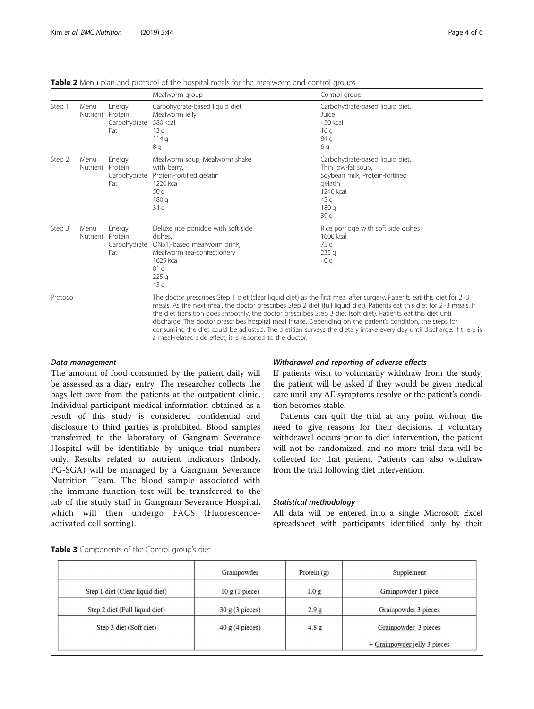|          |                          |                               | Mealworm group                                                                                                                                                                                                                                                                                                                                                                                                                                                                                                                                                                                                                                                         | Control group                                                                                                                           |  |
|----------|--------------------------|-------------------------------|------------------------------------------------------------------------------------------------------------------------------------------------------------------------------------------------------------------------------------------------------------------------------------------------------------------------------------------------------------------------------------------------------------------------------------------------------------------------------------------------------------------------------------------------------------------------------------------------------------------------------------------------------------------------|-----------------------------------------------------------------------------------------------------------------------------------------|--|
| Step 1   | Menu<br>Nutrient Protein | Energy<br>Carbohydrate<br>Fat | Carbohydrate-based liquid diet,<br>Mealworm jelly<br>580 kcal<br>13q<br>114q<br>8 g                                                                                                                                                                                                                                                                                                                                                                                                                                                                                                                                                                                    | Carbohydrate-based liquid diet,<br>Juice<br>450 kcal<br>16q<br>84 g<br>6q                                                               |  |
| Step 2   | Menu<br>Nutrient Protein | Energy<br>Carbohydrate<br>Fat | Mealworm soup, Mealworm shake<br>with berry,<br>Protein-fortified gelatin<br>1220 kcal<br>50q<br>180q<br>34q                                                                                                                                                                                                                                                                                                                                                                                                                                                                                                                                                           | Carbohydrate-based liquid diet,<br>Thin low-fat soup,<br>Soybean milk, Protein-fortified<br>gelatin<br>1240 kcal<br>43q<br>180q<br>39 g |  |
| Step 3   | Menu<br>Nutrient Protein | Energy<br>Carbohydrate<br>Fat | Deluxe rice porridge with soft side<br>dishes.<br>ONS1)-based mealworm drink,<br>Mealworm tea-confectionery<br>1629 kcal<br>81q<br>225q<br>45q                                                                                                                                                                                                                                                                                                                                                                                                                                                                                                                         | Rice porridge with soft side dishes<br>1600 kcal<br>75 g<br>235q<br>40q                                                                 |  |
| Protocol |                          |                               | The doctor prescribes Step 1 diet (clear liquid diet) as the first meal after surgery. Patients eat this diet for 2-3<br>meals. As the next meal, the doctor prescribes Step 2 diet (full liquid diet). Patients eat this diet for 2-3 meals. If<br>the diet transition goes smoothly, the doctor prescribes Step 3 diet (soft diet). Patients eat this diet until<br>discharge. The doctor prescribes hospital meal intake. Depending on the patient's condition, the steps for<br>consuming the diet could be adjusted. The dietitian surveys the dietary intake every day until discharge. If there is<br>a meal-related side effect, it is reported to the doctor. |                                                                                                                                         |  |

<span id="page-3-0"></span>Table 2 Menu plan and protocol of the hospital meals for the mealworm and control groups

# Data management

The amount of food consumed by the patient daily will be assessed as a diary entry. The researcher collects the bags left over from the patients at the outpatient clinic. Individual participant medical information obtained as a result of this study is considered confidential and disclosure to third parties is prohibited. Blood samples transferred to the laboratory of Gangnam Severance Hospital will be identifiable by unique trial numbers only. Results related to nutrient indicators (Inbody, PG-SGA) will be managed by a Gangnam Severance Nutrition Team. The blood sample associated with the immune function test will be transferred to the lab of the study staff in Gangnam Severance Hospital, which will then undergo FACS (Fluorescenceactivated cell sorting).

# Withdrawal and reporting of adverse effects

If patients wish to voluntarily withdraw from the study, the patient will be asked if they would be given medical care until any AE symptoms resolve or the patient's condition becomes stable.

Patients can quit the trial at any point without the need to give reasons for their decisions. If voluntary withdrawal occurs prior to diet intervention, the patient will not be randomized, and no more trial data will be collected for that patient. Patients can also withdraw from the trial following diet intervention.

# Statistical methodology

All data will be entered into a single Microsoft Excel spreadsheet with participants identified only by their

|                                 | Grainpowder               | Protein $(g)$    | Supplement                   |
|---------------------------------|---------------------------|------------------|------------------------------|
| Step 1 diet (Clear liquid diet) | 10 g (1 piece)            | 1.0 <sub>g</sub> | Grainpowder 1 piece          |
| Step 2 diet (Full liquid diet)  | $30 \text{ g}$ (3 pieces) | 2.9 <sub>g</sub> | Grainpowder 3 pieces         |
| Step 3 diet (Soft diet)         | 40 g (4 pieces)           | 4.8 g            | Grainpowder 3 pieces         |
|                                 |                           |                  | + Grainpowder jelly 3 pieces |

Table 3 Components of the Control group's diet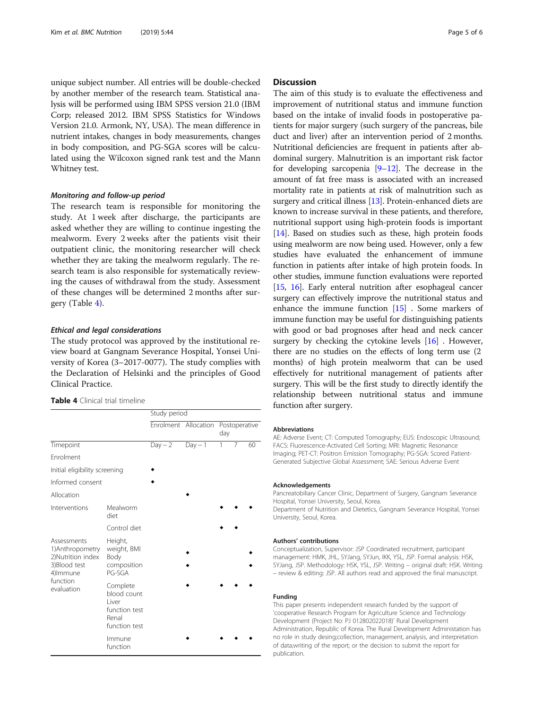unique subject number. All entries will be double-checked by another member of the research team. Statistical analysis will be performed using IBM SPSS version 21.0 (IBM Corp; released 2012. IBM SPSS Statistics for Windows Version 21.0. Armonk, NY, USA). The mean difference in nutrient intakes, changes in body measurements, changes in body composition, and PG-SGA scores will be calculated using the Wilcoxon signed rank test and the Mann Whitney test.

#### Monitoring and follow-up period

The research team is responsible for monitoring the study. At 1 week after discharge, the participants are asked whether they are willing to continue ingesting the mealworm. Every 2 weeks after the patients visit their outpatient clinic, the monitoring researcher will check whether they are taking the mealworm regularly. The research team is also responsible for systematically reviewing the causes of withdrawal from the study. Assessment of these changes will be determined 2 months after surgery (Table 4).

#### Ethical and legal considerations

The study protocol was approved by the institutional review board at Gangnam Severance Hospital, Yonsei University of Korea (3–2017-0077). The study complies with the Declaration of Helsinki and the principles of Good Clinical Practice.

| <b>Table 4</b> Clinical trial timeline |  |
|----------------------------------------|--|
|----------------------------------------|--|

|                                                                                    |                                                                              | Study period |                      |                      |   |    |  |
|------------------------------------------------------------------------------------|------------------------------------------------------------------------------|--------------|----------------------|----------------------|---|----|--|
|                                                                                    |                                                                              |              | Enrolment Allocation | Postoperative<br>day |   |    |  |
| Timepoint                                                                          |                                                                              | $Day - 2$    | $Day - 1$            | 1                    | 7 | 60 |  |
| <b>Fnrolment</b>                                                                   |                                                                              |              |                      |                      |   |    |  |
| Initial eligibility screening                                                      |                                                                              |              |                      |                      |   |    |  |
| Informed consent                                                                   |                                                                              |              |                      |                      |   |    |  |
| Allocation                                                                         |                                                                              |              |                      |                      |   |    |  |
| Interventions                                                                      | Mealworm<br>diet                                                             |              |                      |                      |   |    |  |
|                                                                                    | Control diet                                                                 |              |                      |                      |   |    |  |
| Assessments<br>1) Anthropometry<br>2)Nutrition index<br>3) Blood test<br>4) Immune | Height,<br>weight, BMI<br>Body<br>composition<br>PG-SGA                      |              |                      |                      |   |    |  |
| function<br>evaluation                                                             | Complete<br>blood count<br>I iver<br>function test<br>Renal<br>function test |              |                      |                      |   |    |  |
|                                                                                    | Immune<br>function                                                           |              |                      |                      |   |    |  |

# **Discussion**

The aim of this study is to evaluate the effectiveness and improvement of nutritional status and immune function based on the intake of invalid foods in postoperative patients for major surgery (such surgery of the pancreas, bile duct and liver) after an intervention period of 2 months. Nutritional deficiencies are frequent in patients after abdominal surgery. Malnutrition is an important risk factor for developing sarcopenia  $[9-12]$  $[9-12]$  $[9-12]$  $[9-12]$ . The decrease in the amount of fat free mass is associated with an increased mortality rate in patients at risk of malnutrition such as surgery and critical illness [\[13\]](#page-5-0). Protein-enhanced diets are known to increase survival in these patients, and therefore, nutritional support using high-protein foods is important [[14](#page-5-0)]. Based on studies such as these, high protein foods using mealworm are now being used. However, only a few studies have evaluated the enhancement of immune function in patients after intake of high protein foods. In other studies, immune function evaluations were reported [[15](#page-5-0), [16\]](#page-5-0). Early enteral nutrition after esophageal cancer surgery can effectively improve the nutritional status and enhance the immune function [[15\]](#page-5-0) . Some markers of immune function may be useful for distinguishing patients with good or bad prognoses after head and neck cancer surgery by checking the cytokine levels  $[16]$  $[16]$  $[16]$ . However, there are no studies on the effects of long term use (2 months) of high protein mealworm that can be used effectively for nutritional management of patients after surgery. This will be the first study to directly identify the relationship between nutritional status and immune function after surgery.

#### Abbreviations

AE: Adverse Event; CT: Computed Tomography; EUS: Endoscopic Ultrasound; FACS: Fluorescence-Activated Cell Sorting; MRI: Magnetic Resonance Imaging; PET-CT: Positron Emission Tomography; PG-SGA: Scored Patient-Generated Subjective Global Assessment; SAE: Serious Adverse Event

#### Acknowledgements

Pancreatobiliary Cancer Clinic, Department of Surgery, Gangnam Severance Hospital, Yonsei University, Seoul, Korea.

Department of Nutrition and Dietetics, Gangnam Severance Hospital, Yonsei University, Seoul, Korea.

#### Authors' contributions

Conceptualization, Supervisor: JSP Coordinated recruitment, participant management: HMK, JHL, SYJang, SYJun, IKK, YSL, JSP. Formal analysis: HSK, SYJang, JSP. Methodology: HSK, YSL, JSP. Writing – original draft: HSK. Writing – review & editing: JSP. All authors read and approved the final manuscript.

#### Funding

This paper presents independent research funded by the support of 'cooperative Research Program for Agriculture Science and Technology Development (Project No: PJ 012802022018)' Rural Development Administration, Republic of Korea. The Rural Development Administation has no role in study desing;collection, management, analysis, and interpretation of data;writing of the report; or the decision to submit the report for publication.